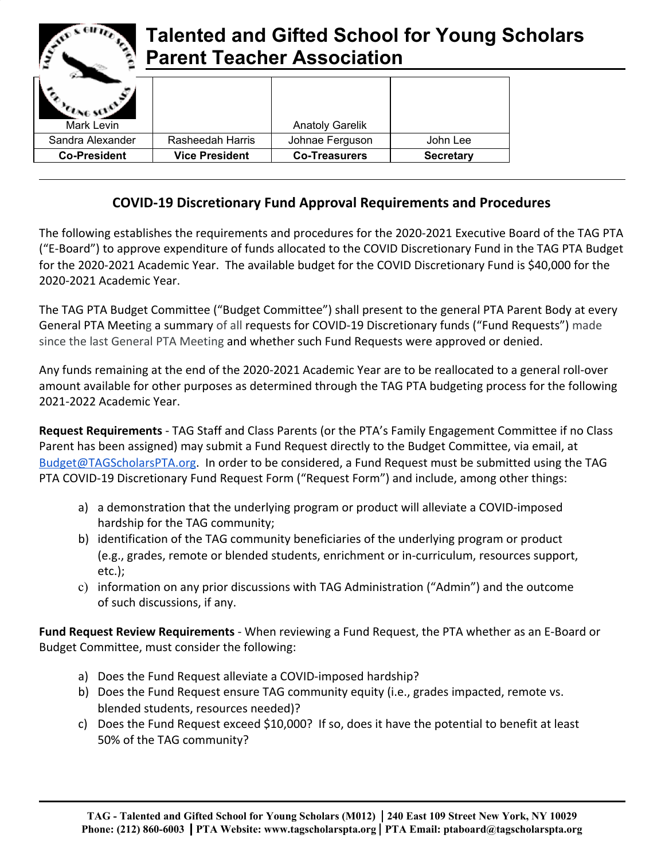| <b>EX GIFTER</b><br><b>Talented and Gifted School for Young Scholars</b><br><b>Parent Teacher Association</b> |                       |                        |                  |  |
|---------------------------------------------------------------------------------------------------------------|-----------------------|------------------------|------------------|--|
|                                                                                                               |                       |                        |                  |  |
| Mark Levin                                                                                                    |                       | <b>Anatoly Garelik</b> |                  |  |
| Sandra Alexander                                                                                              | Rasheedah Harris      | Johnae Ferguson        | John Lee         |  |
| <b>Co-President</b>                                                                                           | <b>Vice President</b> | <b>Co-Treasurers</b>   | <b>Secretary</b> |  |
|                                                                                                               |                       |                        |                  |  |

 $-$  CHFs.

## **COVID-19 Discretionary Fund Approval Requirements and Procedures**

The following establishes the requirements and procedures for the 2020-2021 Executive Board of the TAG PTA ("E-Board") to approve expenditure of funds allocated to the COVID Discretionary Fund in the TAG PTA Budget for the 2020-2021 Academic Year. The available budget for the COVID Discretionary Fund is \$40,000 for the 2020-2021 Academic Year.

The TAG PTA Budget Committee ("Budget Committee") shall present to the general PTA Parent Body at every General PTA Meeting a summary of all requests for COVID-19 Discretionary funds ("Fund Requests") made since the last General PTA Meeting and whether such Fund Requests were approved or denied.

Any funds remaining at the end of the 2020-2021 Academic Year are to be reallocated to a general roll-over amount available for other purposes as determined through the TAG PTA budgeting process for the following 2021-2022 Academic Year.

**Request Requirements** - TAG Staff and Class Parents (or the PTA's Family Engagement Committee if no Class Parent has been assigned) may submit a Fund Request directly to the Budget Committee, via email, at [Budget@TAGScholarsPTA.org.](mailto:Budget@TAGScholarsPTA.org) In order to be considered, a Fund Request must be submitted using the TAG PTA COVID-19 Discretionary Fund Request Form ("Request Form") and include, among other things:

- a) a demonstration that the underlying program or product will alleviate a COVID-imposed hardship for the TAG community;
- b) identification of the TAG community beneficiaries of the underlying program or product (e.g., grades, remote or blended students, enrichment or in-curriculum, resources support, etc.);
- c) information on any prior discussions with TAG Administration ("Admin") and the outcome of such discussions, if any.

**Fund Request Review Requirements** - When reviewing a Fund Request, the PTA whether as an E-Board or Budget Committee, must consider the following:

- a) Does the Fund Request alleviate a COVID-imposed hardship?
- b) Does the Fund Request ensure TAG community equity (i.e., grades impacted, remote vs. blended students, resources needed)?
- c) Does the Fund Request exceed \$10,000? If so, does it have the potential to benefit at least 50% of the TAG community?